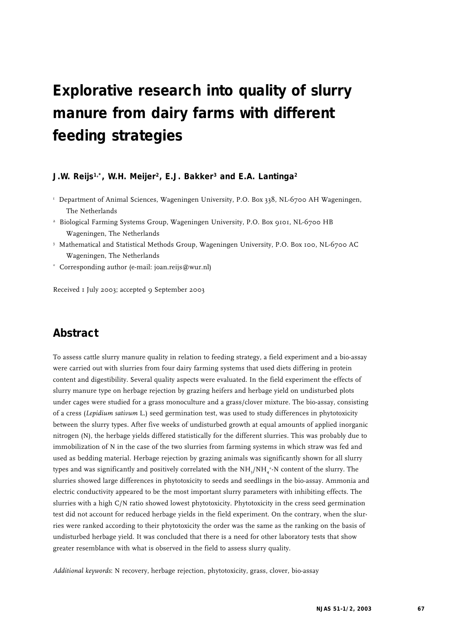# **Explorative research into quality of slurry manure from dairy farms with different feeding strategies**

## **J.W. Reijs1,\*, W.H. Meijer2, E.J. Bakker3 and E.A. Lantinga2**

- <sup>1</sup> Department of Animal Sciences, Wageningen University, P.O. Box 338, NL-6700 AH Wageningen, The Netherlands
- <sup>2</sup> Biological Farming Systems Group, Wageningen University, P.O. Box 9101, NL-6700 HB Wageningen, The Netherlands
- <sup>3</sup> Mathematical and Statistical Methods Group, Wageningen University, P.O. Box 100, NL-6700 AC Wageningen, The Netherlands
- \* Corresponding author (e-mail: joan.reijs@wur.nl)

Received 1 July 2003; accepted 9 September 2003

# **Abstract**

To assess cattle slurry manure quality in relation to feeding strategy, a field experiment and a bio-assay were carried out with slurries from four dairy farming systems that used diets differing in protein content and digestibility. Several quality aspects were evaluated. In the field experiment the effects of slurry manure type on herbage rejection by grazing heifers and herbage yield on undisturbed plots under cages were studied for a grass monoculture and a grass/clover mixture. The bio-assay, consisting of a cress (*Lepidium sativum* L.) seed germination test, was used to study differences in phytotoxicity between the slurry types. After five weeks of undisturbed growth at equal amounts of applied inorganic nitrogen (N), the herbage yields differed statistically for the different slurries. This was probably due to immobilization of N in the case of the two slurries from farming systems in which straw was fed and used as bedding material. Herbage rejection by grazing animals was significantly shown for all slurry types and was significantly and positively correlated with the NH $_{\rm j}$ /NH $_{\rm 4}^{\ast}$ -N content of the slurry. The slurries showed large differences in phytotoxicity to seeds and seedlings in the bio-assay. Ammonia and electric conductivity appeared to be the most important slurry parameters with inhibiting effects. The slurries with a high C/N ratio showed lowest phytotoxicity. Phytotoxicity in the cress seed germination test did not account for reduced herbage yields in the field experiment. On the contrary, when the slurries were ranked according to their phytotoxicity the order was the same as the ranking on the basis of undisturbed herbage yield. It was concluded that there is a need for other laboratory tests that show greater resemblance with what is observed in the field to assess slurry quality.

*Additional keywords*: N recovery, herbage rejection, phytotoxicity, grass, clover, bio-assay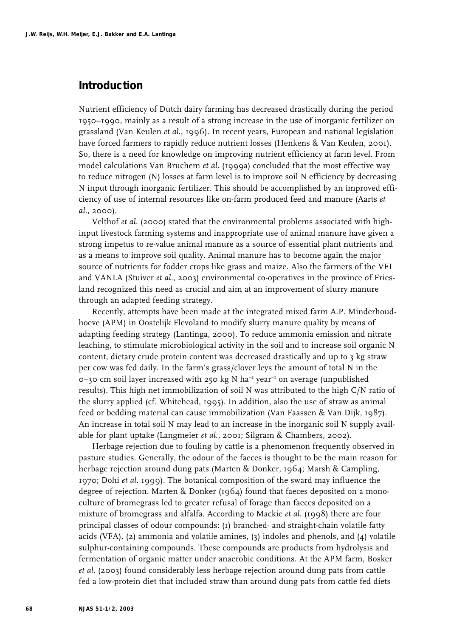# **Introduction**

Nutrient efficiency of Dutch dairy farming has decreased drastically during the period 1950–1990, mainly as a result of a strong increase in the use of inorganic fertilizer on grassland (Van Keulen *et al*., 1996). In recent years, European and national legislation have forced farmers to rapidly reduce nutrient losses (Henkens & Van Keulen, 2001). So, there is a need for knowledge on improving nutrient efficiency at farm level. From model calculations Van Bruchem *et al*. (1999a) concluded that the most effective way to reduce nitrogen (N) losses at farm level is to improve soil N efficiency by decreasing N input through inorganic fertilizer. This should be accomplished by an improved efficiency of use of internal resources like on-farm produced feed and manure (Aarts *et al*., 2000).

Velthof *et al*. (2000) stated that the environmental problems associated with highinput livestock farming systems and inappropriate use of animal manure have given a strong impetus to re-value animal manure as a source of essential plant nutrients and as a means to improve soil quality. Animal manure has to become again the major source of nutrients for fodder crops like grass and maize. Also the farmers of the VEL and VANLA (Stuiver *et al*., 2003) environmental co-operatives in the province of Friesland recognized this need as crucial and aim at an improvement of slurry manure through an adapted feeding strategy.

Recently, attempts have been made at the integrated mixed farm A.P. Minderhoudhoeve (APM) in Oostelijk Flevoland to modify slurry manure quality by means of adapting feeding strategy (Lantinga, 2000). To reduce ammonia emission and nitrate leaching, to stimulate microbiological activity in the soil and to increase soil organic N content, dietary crude protein content was decreased drastically and up to 3 kg straw per cow was fed daily. In the farm's grass/clover leys the amount of total N in the  $o$ –30 cm soil layer increased with 250 kg N ha<sup>-1</sup> year<sup>-1</sup> on average (unpublished results). This high net immobilization of soil N was attributed to the high C/N ratio of the slurry applied (cf. Whitehead, 1995). In addition, also the use of straw as animal feed or bedding material can cause immobilization (Van Faassen & Van Dijk, 1987). An increase in total soil N may lead to an increase in the inorganic soil N supply available for plant uptake (Langmeier *et al*., 2001; Silgram & Chambers, 2002).

Herbage rejection due to fouling by cattle is a phenomenon frequently observed in pasture studies. Generally, the odour of the faeces is thought to be the main reason for herbage rejection around dung pats (Marten & Donker, 1964; Marsh & Campling, 1970; Dohi *et al*. 1999). The botanical composition of the sward may influence the degree of rejection. Marten & Donker  $(1964)$  found that faeces deposited on a monoculture of bromegrass led to greater refusal of forage than faeces deposited on a mixture of bromegrass and alfalfa. According to Mackie *et al*. (1998) there are four principal classes of odour compounds: (1) branched- and straight-chain volatile fatty acids (VFA), (2) ammonia and volatile amines, (3) indoles and phenols, and (4) volatile sulphur-containing compounds. These compounds are products from hydrolysis and fermentation of organic matter under anaerobic conditions. At the APM farm, Bosker *et al*. (2003) found considerably less herbage rejection around dung pats from cattle fed a low-protein diet that included straw than around dung pats from cattle fed diets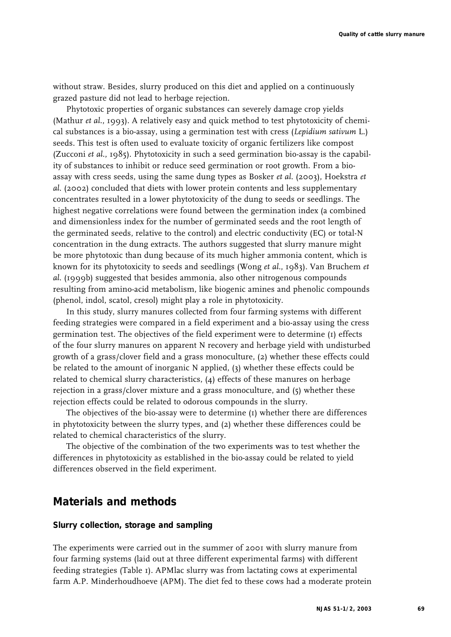without straw. Besides, slurry produced on this diet and applied on a continuously grazed pasture did not lead to herbage rejection.

Phytotoxic properties of organic substances can severely damage crop yields (Mathur *et al*., 1993). A relatively easy and quick method to test phytotoxicity of chemical substances is a bio-assay, using a germination test with cress (*Lepidium sativum* L.) seeds. This test is often used to evaluate toxicity of organic fertilizers like compost (Zucconi *et al*., 1985). Phytotoxicity in such a seed germination bio-assay is the capability of substances to inhibit or reduce seed germination or root growth. From a bioassay with cress seeds, using the same dung types as Bosker *et al*. (2003), Hoekstra *et al*. (2002) concluded that diets with lower protein contents and less supplementary concentrates resulted in a lower phytotoxicity of the dung to seeds or seedlings. The highest negative correlations were found between the germination index (a combined and dimensionless index for the number of germinated seeds and the root length of the germinated seeds, relative to the control) and electric conductivity (EC) or total-N concentration in the dung extracts. The authors suggested that slurry manure might be more phytotoxic than dung because of its much higher ammonia content, which is known for its phytotoxicity to seeds and seedlings (Wong *et al*., 1983). Van Bruchem *et al*. (1999b) suggested that besides ammonia, also other nitrogenous compounds resulting from amino-acid metabolism, like biogenic amines and phenolic compounds (phenol, indol, scatol, cresol) might play a role in phytotoxicity.

In this study, slurry manures collected from four farming systems with different feeding strategies were compared in a field experiment and a bio-assay using the cress germination test. The objectives of the field experiment were to determine (1) effects of the four slurry manures on apparent N recovery and herbage yield with undisturbed growth of a grass/clover field and a grass monoculture, (2) whether these effects could be related to the amount of inorganic N applied, (3) whether these effects could be related to chemical slurry characteristics, (4) effects of these manures on herbage rejection in a grass/clover mixture and a grass monoculture, and (5) whether these rejection effects could be related to odorous compounds in the slurry.

The objectives of the bio-assay were to determine (1) whether there are differences in phytotoxicity between the slurry types, and (2) whether these differences could be related to chemical characteristics of the slurry.

The objective of the combination of the two experiments was to test whether the differences in phytotoxicity as established in the bio-assay could be related to yield differences observed in the field experiment.

# **Materials and methods**

# **Slurry collection, storage and sampling**

The experiments were carried out in the summer of 2001 with slurry manure from four farming systems (laid out at three different experimental farms) with different feeding strategies (Table 1). APMlac slurry was from lactating cows at experimental farm A.P. Minderhoudhoeve (APM). The diet fed to these cows had a moderate protein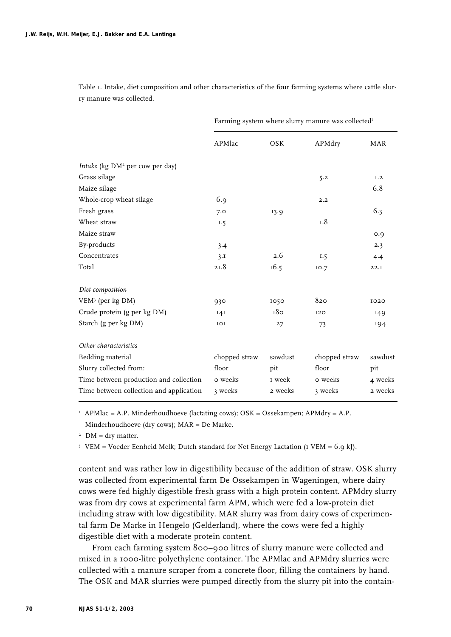|                                             | Farming system where slurry manure was collected <sup>1</sup> |         |               |            |  |
|---------------------------------------------|---------------------------------------------------------------|---------|---------------|------------|--|
|                                             | APMlac                                                        | OSK     | APMdry        | <b>MAR</b> |  |
| Intake (kg DM <sup>2</sup> per cow per day) |                                                               |         |               |            |  |
| Grass silage                                |                                                               |         | 5.2           | I.2        |  |
| Maize silage                                |                                                               |         |               | 6.8        |  |
| Whole-crop wheat silage                     | 6.9                                                           |         | 2.2           |            |  |
| Fresh grass                                 | 7.0                                                           | 13.9    |               | 6.3        |  |
| Wheat straw                                 | I.5                                                           |         | 1.8           |            |  |
| Maize straw                                 |                                                               |         |               | O.Q        |  |
| By-products                                 | 3.4                                                           |         |               | 2.3        |  |
| Concentrates                                | 3.1                                                           | 2.6     | I.5           | 4.4        |  |
| Total                                       | 21.8                                                          | 16.5    | 10.7          | 22.1       |  |
| Diet composition                            |                                                               |         |               |            |  |
| VEM <sup>3</sup> (per kg DM)                | 930                                                           | 1050    | 820           | 1020       |  |
| Crude protein (g per kg DM)                 | I4I                                                           | 180     | 120           | 149        |  |
| Starch (g per kg DM)                        | IOI                                                           | 27      | 73            | 194        |  |
| Other characteristics                       |                                                               |         |               |            |  |
| Bedding material                            | chopped straw                                                 | sawdust | chopped straw | sawdust    |  |
| Slurry collected from:                      | floor                                                         | pit     | floor         | pit        |  |
| Time between production and collection      | o weeks                                                       | 1 week  | o weeks       | 4 weeks    |  |
| Time between collection and application     | 3 weeks                                                       | 2 weeks | 3 weeks       | 2 weeks    |  |

Table 1. Intake, diet composition and other characteristics of the four farming systems where cattle slurry manure was collected.

<sup>1</sup> APMlac = A.P. Minderhoudhoeve (lactating cows);  $OSK = O$ ssekampen; APMdry = A.P. Minderhoudhoeve (dry cows); MAR = De Marke.

 $2$  DM = dry matter.

<sup>3</sup> VEM = Voeder Eenheid Melk; Dutch standard for Net Energy Lactation (I VEM = 6.9 kJ).

content and was rather low in digestibility because of the addition of straw. OSK slurry was collected from experimental farm De Ossekampen in Wageningen, where dairy cows were fed highly digestible fresh grass with a high protein content. APMdry slurry was from dry cows at experimental farm APM, which were fed a low-protein diet including straw with low digestibility. MAR slurry was from dairy cows of experimental farm De Marke in Hengelo (Gelderland), where the cows were fed a highly digestible diet with a moderate protein content.

From each farming system 800–900 litres of slurry manure were collected and mixed in a 1000-litre polyethylene container. The APMlac and APMdry slurries were collected with a manure scraper from a concrete floor, filling the containers by hand. The OSK and MAR slurries were pumped directly from the slurry pit into the contain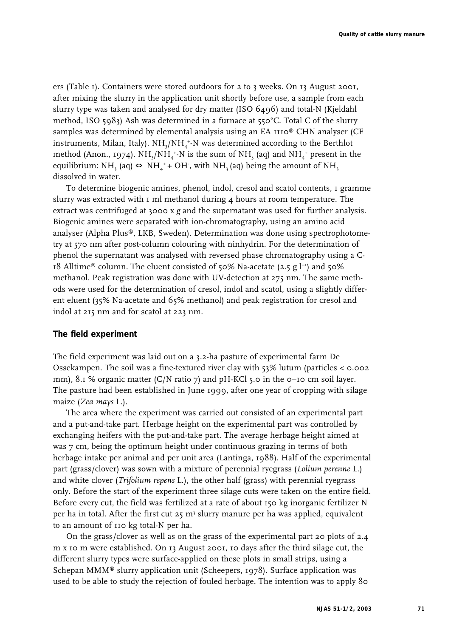ers (Table 1). Containers were stored outdoors for 2 to 3 weeks. On 13 August 2001, after mixing the slurry in the application unit shortly before use, a sample from each slurry type was taken and analysed for dry matter (ISO 6496) and total-N (Kjeldahl method, ISO 5983) Ash was determined in a furnace at 550°C. Total C of the slurry samples was determined by elemental analysis using an EA 1110® CHN analyser (CE instruments, Milan, Italy).  $\mathrm{NH}_3/\mathrm{NH}_4$ +N was determined according to the Berthlot method (Anon., 1974).  $\mathrm{NH}_3/\mathrm{NH}_4$ +-N is the sum of NH<sub>3</sub> (aq) and NH $_4^+$  present in the equilibrium: NH3 (aq)  $\Leftrightarrow$  NH4 $^+_4$ + OH $^+$ , with NH3 (aq) being the amount of NH3 dissolved in water.

To determine biogenic amines, phenol, indol, cresol and scatol contents, 1 gramme slurry was extracted with 1 ml methanol during 4 hours at room temperature. The extract was centrifuged at 3000 x *g* and the supernatant was used for further analysis. Biogenic amines were separated with ion-chromatography, using an amino acid analyser (Alpha Plus®, LKB, Sweden). Determination was done using spectrophotometry at 570 nm after post-column colouring with ninhydrin. For the determination of phenol the supernatant was analysed with reversed phase chromatography using a C-18 Alltime® column. The eluent consisted of 50% Na-acetate (2.5 g  $l^{-1}$ ) and 50% methanol. Peak registration was done with UV-detection at 275 nm. The same methods were used for the determination of cresol, indol and scatol, using a slightly different eluent (35% Na-acetate and 65% methanol) and peak registration for cresol and indol at 215 nm and for scatol at 223 nm.

### **The field experiment**

The field experiment was laid out on a 3.2-ha pasture of experimental farm De Ossekampen. The soil was a fine-textured river clay with 53% lutum (particles < 0.002 mm), 8.1 % organic matter (C/N ratio 7) and pH-KCl 5.0 in the 0-10 cm soil layer. The pasture had been established in June 1999, after one year of cropping with silage maize (*Zea mays* L.).

The area where the experiment was carried out consisted of an experimental part and a put-and-take part. Herbage height on the experimental part was controlled by exchanging heifers with the put-and-take part. The average herbage height aimed at was 7 cm, being the optimum height under continuous grazing in terms of both herbage intake per animal and per unit area (Lantinga, 1988). Half of the experimental part (grass/clover) was sown with a mixture of perennial ryegrass (*Lolium perenne* L.) and white clover (*Trifolium repens* L.), the other half (grass) with perennial ryegrass only. Before the start of the experiment three silage cuts were taken on the entire field. Before every cut, the field was fertilized at a rate of about 150 kg inorganic fertilizer N per ha in total. After the first cut  $25 \text{ m}^3$  slurry manure per ha was applied, equivalent to an amount of 110 kg total-N per ha.

On the grass/clover as well as on the grass of the experimental part 20 plots of 2.4 m x 10 m were established. On 13 August 2001, 10 days after the third silage cut, the different slurry types were surface-applied on these plots in small strips, using a Schepan MMM® slurry application unit (Scheepers, 1978). Surface application was used to be able to study the rejection of fouled herbage. The intention was to apply 80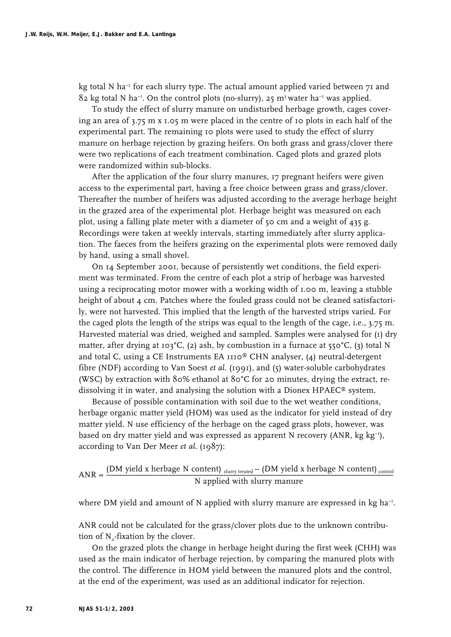kg total N ha<sup>-1</sup> for each slurry type. The actual amount applied varied between  $71$  and  $82 \text{ kg}$  total N ha<sup>-1</sup>. On the control plots (no-slurry), 25 m<sup>3</sup> water ha<sup>-1</sup> was applied.

To study the effect of slurry manure on undisturbed herbage growth, cages covering an area of 3.75 m x 1.05 m were placed in the centre of 10 plots in each half of the experimental part. The remaining 10 plots were used to study the effect of slurry manure on herbage rejection by grazing heifers. On both grass and grass/clover there were two replications of each treatment combination. Caged plots and grazed plots were randomized within sub-blocks.

After the application of the four slurry manures, 17 pregnant heifers were given access to the experimental part, having a free choice between grass and grass/clover. Thereafter the number of heifers was adjusted according to the average herbage height in the grazed area of the experimental plot. Herbage height was measured on each plot, using a falling plate meter with a diameter of 50 cm and a weight of 435 g. Recordings were taken at weekly intervals, starting immediately after slurry application. The faeces from the heifers grazing on the experimental plots were removed daily by hand, using a small shovel.

On 14 September 2001, because of persistently wet conditions, the field experiment was terminated. From the centre of each plot a strip of herbage was harvested using a reciprocating motor mower with a working width of 1.00 m, leaving a stubble height of about 4 cm. Patches where the fouled grass could not be cleaned satisfactorily, were not harvested. This implied that the length of the harvested strips varied. For the caged plots the length of the strips was equal to the length of the cage, i.e., 3.75 m. Harvested material was dried, weighed and sampled. Samples were analysed for (1) dry matter, after drying at 103°C, (2) ash, by combustion in a furnace at 550°C, (3) total N and total C, using a CE Instruments EA 1110® CHN analyser, (4) neutral-detergent fibre (NDF) according to Van Soest *et al*. (1991), and (5) water-soluble carbohydrates (WSC) by extraction with 80% ethanol at 80°C for 20 minutes, drying the extract, redissolving it in water, and analysing the solution with a Dionex HPAEC® system.

Because of possible contamination with soil due to the wet weather conditions, herbage organic matter yield (HOM) was used as the indicator for yield instead of dry matter yield. N use efficiency of the herbage on the caged grass plots, however, was based on dry matter yield and was expressed as apparent N recovery (ANR, kg kg<sup>-1</sup>), according to Van Der Meer *et al*. (1987):

$$
ANR = \frac{(DM yield x herbage N content)_{slurv\text{ treated}} - (DM yield x herbage N content)_{control}}{N applied with slurv manner}
$$

where DM yield and amount of N applied with slurry manure are expressed in  $kg$  ha<sup>-1</sup>.

ANR could not be calculated for the grass/clover plots due to the unknown contribution of  $N_{2}$ -fixation by the clover.

On the grazed plots the change in herbage height during the first week (CHH) was used as the main indicator of herbage rejection, by comparing the manured plots with the control. The difference in HOM yield between the manured plots and the control, at the end of the experiment, was used as an additional indicator for rejection.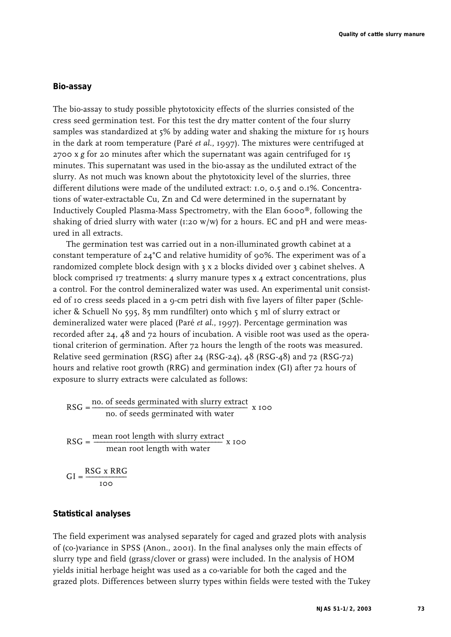### **Bio-assay**

The bio-assay to study possible phytotoxicity effects of the slurries consisted of the cress seed germination test. For this test the dry matter content of the four slurry samples was standardized at 5% by adding water and shaking the mixture for 15 hours in the dark at room temperature (Paré *et al*., 1997). The mixtures were centrifuged at 2700 x *g* for 20 minutes after which the supernatant was again centrifuged for 15 minutes. This supernatant was used in the bio-assay as the undiluted extract of the slurry. As not much was known about the phytotoxicity level of the slurries, three different dilutions were made of the undiluted extract: 1.0, 0.5 and 0.1%. Concentrations of water-extractable Cu, Zn and Cd were determined in the supernatant by Inductively Coupled Plasma-Mass Spectrometry, with the Elan 6000®, following the shaking of dried slurry with water (1:20 w/w) for 2 hours. EC and pH and were measured in all extracts.

The germination test was carried out in a non-illuminated growth cabinet at a constant temperature of  $24^{\circ}$ C and relative humidity of 90%. The experiment was of a randomized complete block design with 3 x 2 blocks divided over 3 cabinet shelves. A block comprised 17 treatments: 4 slurry manure types x 4 extract concentrations, plus a control. For the control demineralized water was used. An experimental unit consisted of 10 cress seeds placed in a 9-cm petri dish with five layers of filter paper (Schleicher & Schuell No 595, 85 mm rundfilter) onto which 5 ml of slurry extract or demineralized water were placed (Paré *et al*., 1997). Percentage germination was recorded after 24, 48 and 72 hours of incubation. A visible root was used as the operational criterion of germination. After 72 hours the length of the roots was measured. Relative seed germination (RSG) after 24 (RSG-24), 48 (RSG-48) and 72 (RSG-72) hours and relative root growth (RRG) and germination index (GI) after 72 hours of exposure to slurry extracts were calculated as follows:

$$
RSG = \frac{\text{no. of seeds germinated with slurry extract}}{\text{no. of seeds germinated with water}} \times 100
$$
  

$$
RSG = \frac{\text{mean root length with slurry extract}}{\text{mean root length with water}} \times 100
$$
  

$$
GI = \frac{RSG \times RRG}{\text{area}} \times 100
$$

#### **Statistical analyses**

The field experiment was analysed separately for caged and grazed plots with analysis of (co-)variance in SPSS (Anon., 2001). In the final analyses only the main effects of slurry type and field (grass/clover or grass) were included. In the analysis of HOM yields initial herbage height was used as a co-variable for both the caged and the grazed plots. Differences between slurry types within fields were tested with the Tukey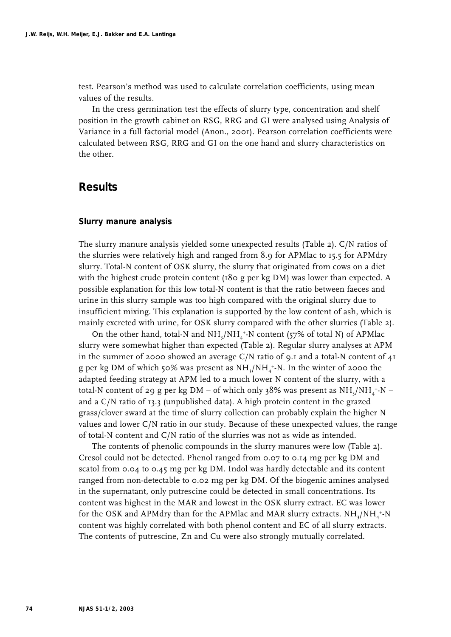test. Pearson's method was used to calculate correlation coefficients, using mean values of the results.

In the cress germination test the effects of slurry type, concentration and shelf position in the growth cabinet on RSG, RRG and GI were analysed using Analysis of Variance in a full factorial model (Anon., 2001). Pearson correlation coefficients were calculated between RSG, RRG and GI on the one hand and slurry characteristics on the other.

# **Results**

#### **Slurry manure analysis**

The slurry manure analysis yielded some unexpected results (Table 2). C/N ratios of the slurries were relatively high and ranged from 8.9 for APMlac to 15.5 for APMdry slurry. Total-N content of OSK slurry, the slurry that originated from cows on a diet with the highest crude protein content (180 g per kg DM) was lower than expected. A possible explanation for this low total-N content is that the ratio between faeces and urine in this slurry sample was too high compared with the original slurry due to insufficient mixing. This explanation is supported by the low content of ash, which is mainly excreted with urine, for OSK slurry compared with the other slurries (Table 2).

On the other hand, total-N and  $\rm NH_3/NH_4^+~N$  content (57% of total N) of APMlac slurry were somewhat higher than expected (Table 2). Regular slurry analyses at APM in the summer of 2000 showed an average  $C/N$  ratio of 9.1 and a total-N content of  $4I$ g per kg DM of which 50% was present as  $\rm NH_3/NH_4^+N.$  In the winter of 2000 the adapted feeding strategy at APM led to a much lower N content of the slurry, with a total-N content of 29 g per kg DM – of which only 38% was present as NH<sub>3</sub>/NH<sub>4</sub>+N – and a C/N ratio of 13.3 (unpublished data). A high protein content in the grazed grass/clover sward at the time of slurry collection can probably explain the higher N values and lower C/N ratio in our study. Because of these unexpected values, the range of total-N content and C/N ratio of the slurries was not as wide as intended.

The contents of phenolic compounds in the slurry manures were low (Table 2). Cresol could not be detected. Phenol ranged from 0.07 to 0.14 mg per kg DM and scatol from 0.04 to 0.45 mg per kg DM. Indol was hardly detectable and its content ranged from non-detectable to 0.02 mg per kg DM. Of the biogenic amines analysed in the supernatant, only putrescine could be detected in small concentrations. Its content was highest in the MAR and lowest in the OSK slurry extract. EC was lower for the OSK and APMdry than for the APMlac and MAR slurry extracts.  $\mathrm{NH}_3/\mathrm{NH}_4$ \*-N content was highly correlated with both phenol content and EC of all slurry extracts. The contents of putrescine, Zn and Cu were also strongly mutually correlated.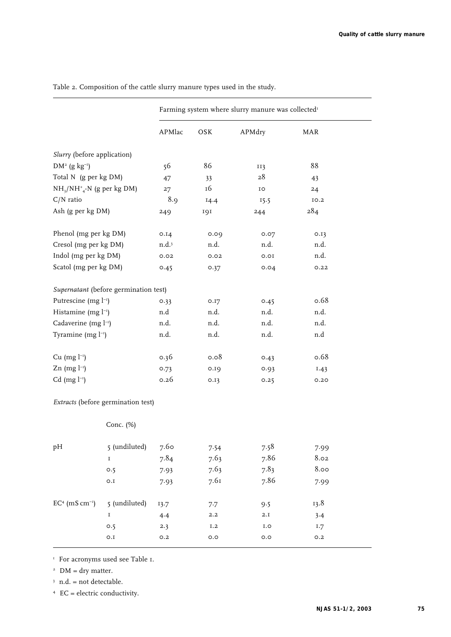|                                      |                                       |        |      | Farming system where slurry manure was collected <sup>1</sup> |            |
|--------------------------------------|---------------------------------------|--------|------|---------------------------------------------------------------|------------|
|                                      |                                       | APMlac | OSK  | APMdry                                                        | <b>MAR</b> |
| Slurry (before application)          |                                       |        |      |                                                               |            |
| $DM^2$ (g kg <sup>-1</sup> )         |                                       | 56     | 86   | II3                                                           | 88         |
| Total N (g per kg DM)                |                                       | 47     | 33   | 28                                                            | 43         |
| $NH_{3}/NH_{4}^{+}$ -N (g per kg DM) |                                       | 27     | 16   | IO                                                            | 24         |
| $C/N$ ratio                          |                                       | 8.9    | 14.4 | 15.5                                                          | 10.2       |
| Ash (g per kg DM)                    |                                       | 249    | 191  | 244                                                           | 284        |
| Phenol (mg per kg DM)                |                                       | 0.14   | 0.09 | 0.07                                                          | 0.13       |
| Cresol (mg per kg DM)                |                                       | n.d.3  | n.d. | n.d.                                                          | n.d.       |
| Indol (mg per kg DM)                 |                                       | 0.02   | 0.02 | 0.01                                                          | n.d.       |
| Scatol (mg per kg DM)                |                                       | 0.45   | 0.37 | 0.04                                                          | 0.22       |
|                                      | Supernatant (before germination test) |        |      |                                                               |            |
| Putrescine (mg l <sup>-1</sup> )     |                                       | 0.33   | 0.17 | 0.45                                                          | 0.68       |
| Histamine (mg l <sup>-1</sup> )      |                                       | n.d    | n.d. | n.d.                                                          | n.d.       |
| Cadaverine (mg l <sup>-1</sup> )     |                                       | n.d.   | n.d. | n.d.                                                          | n.d.       |
| Tyramine (mg l <sup>-1</sup> )       |                                       | n.d.   | n.d. | n.d.                                                          | n.d        |
| $Cu$ (mg $l^{-1}$ )                  |                                       | 0.36   | 0.08 | 0.43                                                          | 0.68       |
| Zn (mg $l^{-1}$ )                    |                                       | 0.73   | 0.19 | 0.93                                                          | 1.43       |
| Cd (mg $l^{-1}$ )                    |                                       | 0.26   | 0.13 | 0.25                                                          | 0.20       |
|                                      | Extracts (before germination test)    |        |      |                                                               |            |
|                                      | Conc. (%)                             |        |      |                                                               |            |
| pH                                   | 5 (undiluted)                         | 7.60   | 7.54 | 7.58                                                          | 7.99       |
|                                      | $\mathbf I$                           | 7.84   | 7.63 | 7.86                                                          | 8.02       |
|                                      | 0.5                                   | 7.93   | 7.63 | 7.83                                                          | 8.00       |
|                                      | 0.I                                   | 7.93   | 7.61 | 7.86                                                          | 7.99       |
| $EC^4$ (mS $cm^{-1}$ )               | 5 (undiluted)                         | 13.7   | 7.7  | 9.5                                                           | 13.8       |
|                                      | I                                     | 4.4    | 2.2  | 2.I                                                           | 3.4        |
|                                      | O.5                                   | 2.3    | I.2  | I.O                                                           | I.7        |

0.1 0.2 0.0 0.0 0.2

Table 2. Composition of the cattle slurry manure types used in the study.

<sup>1</sup> For acronyms used see Table 1.

<sup>2</sup> DM = dry matter.

 $3$  n.d. = not detectable.

<sup>4</sup> EC = electric conductivity.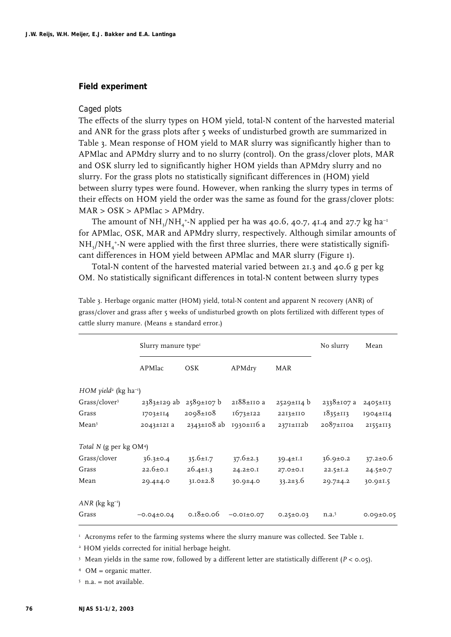#### **Field experiment**

#### *Caged plots*

The effects of the slurry types on HOM yield, total-N content of the harvested material and ANR for the grass plots after 5 weeks of undisturbed growth are summarized in Table 3. Mean response of HOM yield to MAR slurry was significantly higher than to APMlac and APMdry slurry and to no slurry (control). On the grass/clover plots, MAR and OSK slurry led to significantly higher HOM yields than APMdry slurry and no slurry. For the grass plots no statistically significant differences in (HOM) yield between slurry types were found. However, when ranking the slurry types in terms of their effects on HOM yield the order was the same as found for the grass/clover plots: MAR > OSK > APMlac > APMdry.

The amount of NH<sub>3</sub>/NH<sub>4</sub>+-N applied per ha was 40.6, 40.7, 41.4 and 27.7 kg ha<sup>-1</sup> for APMlac, OSK, MAR and APMdry slurry, respectively. Although similar amounts of  $\rm NH_3/NH_4^+~N$  were applied with the first three slurries, there were statistically significant differences in HOM yield between APMlac and MAR slurry (Figure 1).

Total-N content of the harvested material varied between 21.3 and 40.6 g per kg OM. No statistically significant differences in total-N content between slurry types

|                                                 | Slurry manure type <sup>1</sup> |                                    |                  |                  | No slurry         | Mean            |
|-------------------------------------------------|---------------------------------|------------------------------------|------------------|------------------|-------------------|-----------------|
|                                                 | APMlac                          | <b>OSK</b>                         | APMdry           | MAR              |                   |                 |
| $HOM$ yield <sup>2</sup> (kg ha <sup>-1</sup> ) |                                 |                                    |                  |                  |                   |                 |
| Grass/clover <sup>3</sup>                       |                                 | $2383 \pm 129$ ab $2589 \pm 107$ b | 2188±110 a       | $2529 \pm 114$ b | 2338±107 a        | 2405±II3        |
| Grass                                           | $I703 \pm I14$                  | 2098±108                           | $1673 \pm 122$   | $22I3 \pm IIO$   | 1835±113          | $1904 \pm 114$  |
| Mean <sup>3</sup>                               | 2043±121 a                      | $2343 \pm 108$ ab                  | 1930±116 а       | 2371±112b        | 2087±110a         | $2155 \pm 113$  |
| Total N (g per kg OM <sup>4</sup> )             |                                 |                                    |                  |                  |                   |                 |
| Grass/clover                                    | $36.3 \pm 0.4$                  | $35.6 \pm 1.7$                     | $37.6 \pm 2.3$   | $39.4 \pm 1.1$   | $36.9 \pm 0.2$    | $37.2 \pm 0.6$  |
| Grass                                           | $22.6 \pm 0.1$                  | 26.4±1.3                           | $24.2 \pm 0.1$   | 27.0±0.I         | $22.5 \pm 1.2$    | $24.5 \pm 0.7$  |
| Mean                                            | $29.4 \pm 4.0$                  | $31.0 \pm 2.8$                     | $30.9 \pm 4.0$   | $33.2 \pm 3.6$   | 29.7±4.2          | $30.9 \pm 1.5$  |
| $ANR$ (kg kg <sup>-1</sup> )                    |                                 |                                    |                  |                  |                   |                 |
| Grass                                           | $-0.04 \pm 0.04$                | $0.18 \pm 0.06$                    | $-0.01 \pm 0.07$ | $0.25 \pm 0.03$  | n.a. <sup>5</sup> | $0.09 \pm 0.05$ |

Table 3. Herbage organic matter (HOM) yield, total-N content and apparent N recovery (ANR) of grass/clover and grass after 5 weeks of undisturbed growth on plots fertilized with different types of cattle slurry manure. (Means ± standard error.)

<sup>1</sup> Acronyms refer to the farming systems where the slurry manure was collected. See Table 1.

<sup>2</sup> HOM yields corrected for initial herbage height.

<sup>3</sup> Mean yields in the same row, followed by a different letter are statistically different (*P* < 0.05).

<sup>4</sup> OM = organic matter.

 $5$  n.a. = not available.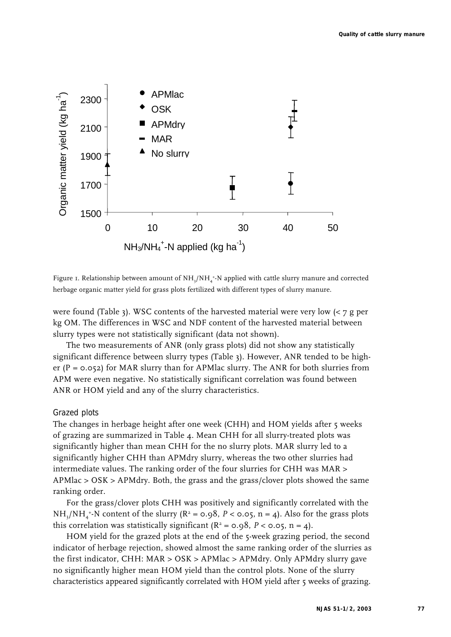

Figure 1. Relationship between amount of  $NH_{3}/NH_{4}^{\ast}$ -N applied with cattle slurry manure and corrected herbage organic matter yield for grass plots fertilized with different types of slurry manure.

were found (Table 3). WSC contents of the harvested material were very low  $\left\langle \langle 7 \rangle \right\rangle$  per kg OM. The differences in WSC and NDF content of the harvested material between slurry types were not statistically significant (data not shown).

The two measurements of ANR (only grass plots) did not show any statistically significant difference between slurry types (Table 3). However, ANR tended to be higher ( $P = 0.052$ ) for MAR slurry than for APMlac slurry. The ANR for both slurries from APM were even negative. No statistically significant correlation was found between ANR or HOM yield and any of the slurry characteristics.

## *Grazed plots*

The changes in herbage height after one week (CHH) and HOM yields after 5 weeks of grazing are summarized in Table 4. Mean CHH for all slurry-treated plots was significantly higher than mean CHH for the no slurry plots. MAR slurry led to a significantly higher CHH than APMdry slurry, whereas the two other slurries had intermediate values. The ranking order of the four slurries for CHH was MAR > APMlac > OSK > APMdry. Both, the grass and the grass/clover plots showed the same ranking order.

For the grass/clover plots CHH was positively and significantly correlated with the  $NH<sub>3</sub>/NH<sub>4</sub>$ <sup>+</sup>-N content of the slurry ( $R^2$  = 0.98,  $P$  < 0.05, n = 4). Also for the grass plots this correlation was statistically significant ( $R^2$  = 0.98,  $P$  < 0.05, n = 4).

HOM yield for the grazed plots at the end of the 5-week grazing period, the second indicator of herbage rejection, showed almost the same ranking order of the slurries as the first indicator, CHH: MAR > OSK > APMlac > APMdry. Only APMdry slurry gave no significantly higher mean HOM yield than the control plots. None of the slurry characteristics appeared significantly correlated with HOM yield after 5 weeks of grazing.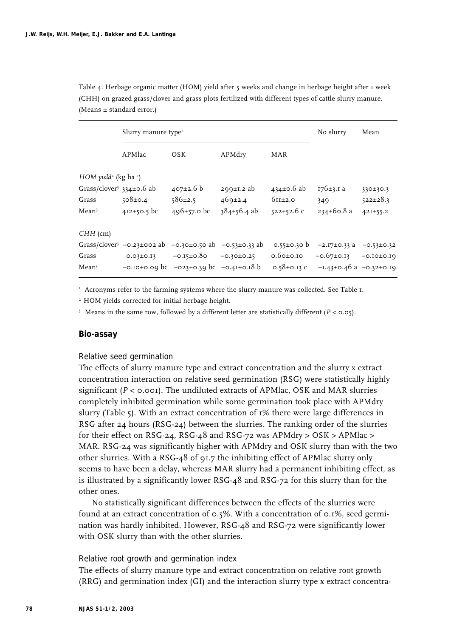Table 4. Herbage organic matter (HOM) yield after 5 weeks and change in herbage height after 1 week (CHH) on grazed grass/clover and grass plots fertilized with different types of cattle slurry manure. (Means  $\pm$  standard error.)

|                                                 | Slurry manure type <sup>1</sup>                                    |                                                      |                   |                   | No slurry                       | Mean           |  |
|-------------------------------------------------|--------------------------------------------------------------------|------------------------------------------------------|-------------------|-------------------|---------------------------------|----------------|--|
|                                                 | APMlac                                                             | OSK                                                  | APMdry            | <b>MAR</b>        |                                 |                |  |
| $HOM$ yield <sup>2</sup> (kg ha <sup>-1</sup> ) |                                                                    |                                                      |                   |                   |                                 |                |  |
| Grass/clover <sup>3</sup> 334±0.6 ab            |                                                                    | $407 \pm 2.6$ b                                      | $299±1.2$ ab      | $434 \pm 0.6$ ab  | $176 \pm 3.1$ a                 | 330±30.3       |  |
| Grass                                           | $508 \pm 0.4$                                                      | $586 \pm 2.5$                                        | 469±2.4           | $611\pm2.0$       | 349                             | $522 \pm 28.3$ |  |
| Mean <sup>3</sup>                               | $412 \pm 50.5$ bc                                                  | $496 \pm 57.0$ bc                                    | $384 \pm 56.4$ ab | $522 \pm 52.6$ c  | $234 \pm 60.8$ a                | $42I \pm 55.2$ |  |
| $CHH$ (cm)                                      |                                                                    |                                                      |                   |                   |                                 |                |  |
|                                                 | Grass/clover <sup>3</sup> -0.23±002 ab -0.30±0.50 ab -0.53±0.33 ab |                                                      |                   | $0.55 \pm 0.30$ b | $-2.17\pm0.33$ a $-0.53\pm0.32$ |                |  |
| Grass                                           | $0.03 \pm 0.13$                                                    | $-0.15 \pm 0.80$                                     | $-0.30 \pm 0.25$  | $0.6$ 0±0.10      | $-0.67\pm0.13$ $-0.10\pm0.19$   |                |  |
| Mean <sup>3</sup>                               |                                                                    | $-0.10\pm0.09$ bc $-0.23\pm0.39$ bc $-0.41\pm0.18$ b |                   | 0.58 $\pm$ 0.13 C | $-1.43\pm0.46$ a $-0.32\pm0.19$ |                |  |

<sup>1</sup> Acronyms refer to the farming systems where the slurry manure was collected. See Table 1.

<sup>2</sup> HOM yields corrected for initial herbage height.

<sup>3</sup> Means in the same row, followed by a different letter are statistically different (*P* < 0.05).

#### **Bio-assay**

#### *Relative seed germination*

The effects of slurry manure type and extract concentration and the slurry x extract concentration interaction on relative seed germination (RSG) were statistically highly significant ( $P < 0.001$ ). The undiluted extracts of APMlac, OSK and MAR slurries completely inhibited germination while some germination took place with APMdry slurry (Table 5). With an extract concentration of 1% there were large differences in RSG after 24 hours (RSG-24) between the slurries. The ranking order of the slurries for their effect on RSG-24, RSG-48 and RSG-72 was APMdry > OSK > APMlac > MAR. RSG-24 was significantly higher with APMdry and OSK slurry than with the two other slurries. With a RSG-48 of 91.7 the inhibiting effect of APMlac slurry only seems to have been a delay, whereas MAR slurry had a permanent inhibiting effect, as is illustrated by a significantly lower RSG-48 and RSG-72 for this slurry than for the other ones.

No statistically significant differences between the effects of the slurries were found at an extract concentration of 0.5%. With a concentration of 0.1%, seed germination was hardly inhibited. However, RSG-48 and RSG-72 were significantly lower with OSK slurry than with the other slurries.

### *Relative root growth and germination index*

The effects of slurry manure type and extract concentration on relative root growth (RRG) and germination index (GI) and the interaction slurry type x extract concentra-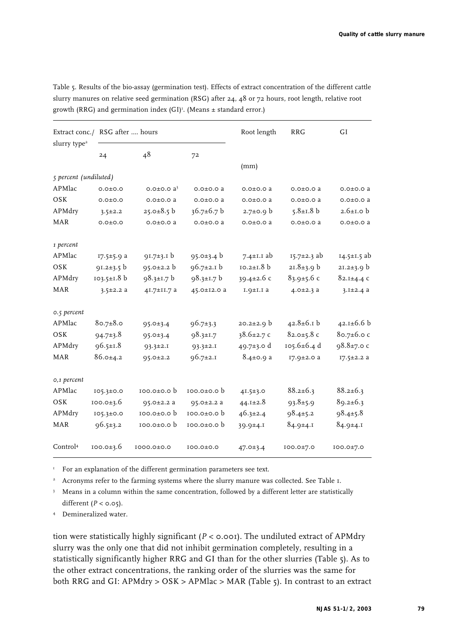| slurry type <sup>2</sup> | Extract conc./ RSG after  hours |                    |                  | Root length      | <b>RRG</b>        | GI                |
|--------------------------|---------------------------------|--------------------|------------------|------------------|-------------------|-------------------|
|                          | 24                              | 48                 | 72               |                  |                   |                   |
|                          |                                 |                    |                  | (mm)             |                   |                   |
| 5 percent (undiluted)    |                                 |                    |                  |                  |                   |                   |
| APMlac                   | $0.0 + 0.0$                     | $0.0 \pm 0.0$ $a3$ | $0.0 \pm 0.0 a$  | $0.0 \pm 0.0 a$  | $0.0 \pm 0.0 a$   | $0.0 \pm 0.0 a$   |
| OSK                      | 0.0 ± 0.0                       | $0.0 \pm 0.0 a$    | $0.0 \pm 0.0 a$  | $0.0 \pm 0.0 a$  | $0.0 \pm 0.0 a$   | $0.0 \pm 0.0 a$   |
| APMdry                   | $3.5 \pm 2.2$                   | $25.0 \pm 8.5$ b   | 36.7±6.7 b       | $2.7 \pm 0.9$ b  | $5.8 \pm 1.8$ b   | $2.6 \pm 1.0$ b   |
| <b>MAR</b>               | $0.0 + 0.0$                     | $0.0 \pm 0.0 a$    | $0.0 \pm 0.0 a$  | $0.0 \pm 0.0 a$  | $0.0 \pm 0.0 a$   | $0.0 \pm 0.0 a$   |
| 1 percent                |                                 |                    |                  |                  |                   |                   |
| APMlac                   | 17.5±5.9 a                      | $91.7 \pm 3.1$ b   | $95.0 \pm 3.4 b$ | 7.4 $\pm$ 1.1 ab | $15.7 \pm 2.3$ ab | $14.5 \pm 1.5$ ab |
| OSK                      | $91.2 \pm 3.5$ b                | $95.0 \pm 2.2 b$   | $96.7 \pm 2.1$ b | $10.2 \pm 1.8$ b | $21.8 \pm 3.9$ b  | $21.2 \pm 3.9$ b  |
| APMdry                   | $103.5 \pm 1.8$ b               | 98.3±1.7 b         | $98.3 \pm 1.7$ b | 39.4 $\pm$ 2.6 c | $83.9 \pm 5.6$ c  | $82.1 \pm 4.4$ C  |
| <b>MAR</b>               | $3.5 \pm 2.2 a$                 | 41.7±11.7 a        | 45.0±12.0 a      | $I.9 \pm I.1$ a  | $4.0 \pm 2.3 a$   | $3.1 \pm 2.4 a$   |
| 0.5 percent              |                                 |                    |                  |                  |                   |                   |
| APMlac                   | $80.7 \pm 8.0$                  | $95.0 \pm 3.4$     | $96.7 \pm 3.3$   | $20.2 \pm 2.9$ b | $42.8 \pm 6.1$ b  | $42.1 \pm 6.6 b$  |
| OSK                      | $94.7 \pm 3.8$                  | $95.0 \pm 3.4$     | $98.3 \pm 1.7$   | $38.6 \pm 2.7$ c | $82.0 \pm 5.8$ c  | 80.7±6.0 c        |
| APMdry                   | $96.5 \pm 1.8$                  | $93.3 \pm 2.1$     | $93.3 \pm 2.1$   | 49.7±3.0 d       | 105.6±6.4 d       | $98.8 \pm 7.0$ c  |
| <b>MAR</b>               | $86.0 \pm 4.2$                  | $95.0 \pm 2.2$     | $96.7 \pm 2.1$   | $8.4 \pm 0.9 a$  | 17.9±2.0 a        | $I7.5 \pm 2.2 a$  |
| 0,1 percent              |                                 |                    |                  |                  |                   |                   |
| APMlac                   | $105.3 \pm 0.0$                 | $100.0 \pm 0.0$    | $100.0 \pm 0.0$  | 41.5±3.0         | $88.2 \pm 6.3$    | $88.2 \pm 6.3$    |
| OSK                      | $100.0 \pm 3.6$                 | $95.0 \pm 2.2 a$   | $95.0 \pm 2.2 a$ | 44.1±2.8         | $93.8 \pm 5.9$    | $89.2 \pm 6.3$    |
| APMdry                   | $105.3 \pm 0.0$                 | 100.0±0.0 b        | $100.0 \pm 0.0$  | $46.3 \pm 2.4$   | $98.4 \pm 5.2$    | $98.4 \pm 5.8$    |
| <b>MAR</b>               | $96.5 \pm 3.2$                  | $100.0 \pm 0.0 b$  | $100.0 \pm 0.0$  | $39.9 \pm 4.1$   | $84.9 \pm 4.1$    | $84.9 \pm 4.1$    |
| Control <sup>4</sup>     | $100.0 \pm 3.6$                 | I000.0±0.0         | 100.0±0.0        | 47.0±3.4         | IOO.0±7.0         | I00.0±7.0         |

Table 5. Results of the bio-assay (germination test). Effects of extract concentration of the different cattle slurry manures on relative seed germination (RSG) after 24, 48 or 72 hours, root length, relative root growth (RRG) and germination index (GI)<sup>1</sup>. (Means  $\pm$  standard error.)

<sup>1</sup> For an explanation of the different germination parameters see text.

<sup>2</sup> Acronyms refer to the farming systems where the slurry manure was collected. See Table 1.

<sup>3</sup> Means in a column within the same concentration, followed by a different letter are statistically different  $(P < 0.05)$ .

<sup>4</sup> Demineralized water.

tion were statistically highly significant (*P* < 0.001). The undiluted extract of APMdry slurry was the only one that did not inhibit germination completely, resulting in a statistically significantly higher RRG and GI than for the other slurries (Table 5). As to the other extract concentrations, the ranking order of the slurries was the same for both RRG and GI: APMdry > OSK > APMlac > MAR (Table 5). In contrast to an extract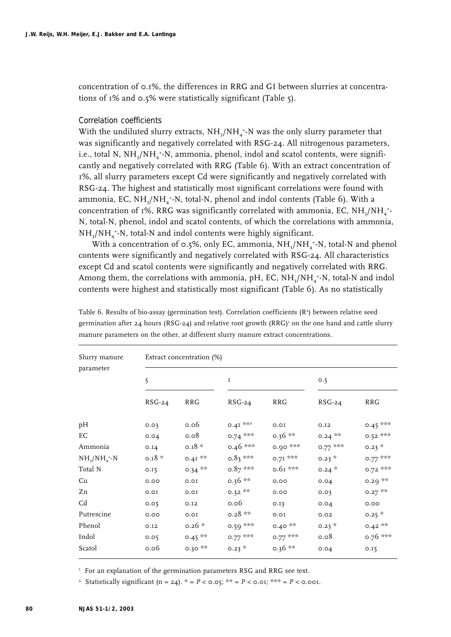concentration of 0.1%, the differences in RRG and GI between slurries at concentrations of 1% and 0.5% were statistically significant (Table 5).

#### *Correlation coefficients*

With the undiluted slurry extracts,  $\mathrm{NH}_3/\mathrm{NH}_4$ \*-N was the only slurry parameter that was significantly and negatively correlated with RSG-24. All nitrogenous parameters, i.e., total N, NH<sub>3</sub>/NH<sub>4</sub>+-N, ammonia, phenol, indol and scatol contents, were significantly and negatively correlated with RRG (Table 6). With an extract concentration of 1%, all slurry parameters except Cd were significantly and negatively correlated with RSG-24. The highest and statistically most significant correlations were found with ammonia, EC, NH $_{\rm 3}$ /NH $_{\rm 4}^{\rm +}$ -N, total-N, phenol and indol contents (Table 6). With a concentration of 1%, RRG was significantly correlated with ammonia, EC, NH<sub>3</sub>/NH<sub>4</sub>+-N, total-N, phenol, indol and scatol contents, of which the correlations with ammonia,  $NH_{3}/NH_{4}$ <sup>+</sup>-N, total-N and indol contents were highly significant.

With a concentration of 0.5%, only EC, ammonia,  $NH_{3}/NH_{4}^{+}$ -N, total-N and phenol contents were significantly and negatively correlated with RSG-24. All characteristics except Cd and scatol contents were significantly and negatively correlated with RRG. Among them, the correlations with ammonia, pH, EC,  $\rm NH_3/NH_4^{\ast-}N$ , total-N and indol contents were highest and statistically most significant (Table 6). As no statistically

| Slurry manure<br>parameter | Extract concentration (%) |            |           |            |           |            |  |
|----------------------------|---------------------------|------------|-----------|------------|-----------|------------|--|
|                            | 5                         |            | I         |            | 0.5       |            |  |
|                            | $RSG-24$                  | <b>RRG</b> | $RSG-24$  | <b>RRG</b> | $RSG-24$  | <b>RRG</b> |  |
| pH                         | 0.03                      | 0.06       | 0.41 ***  | 0.01       | 0.12      | $0.45***$  |  |
| EС                         | 0.04                      | 0.08       | $0.74***$ | $0.36**$   | $0.24$ ** | $0.52***$  |  |
| Ammonia                    | 0.14                      | $0.18*$    | $0.46***$ | $0.90***$  | $0.77***$ | $0.23 *$   |  |
| $NH_{3}/NH_{4}^{+}N$       | $0.18 *$                  | $0.41**$   | $0.83***$ | $0.71***$  | $0.23 *$  | $0.77***$  |  |
| Total N                    | 0.15                      | $0.34***$  | $0.87***$ | $0.61***$  | $0.24 *$  | $0.72$ *** |  |
| Cu                         | 0.00                      | 0.01       | $0.36**$  | 0.00       | 0.04      | $0.29***$  |  |
| Zn                         | 0.01                      | 0.01       | $0.32$ ** | 0.00       | 0.03      | $0.27$ **  |  |
| Cd                         | 0.05                      | 0.12       | 0.06      | 0.13       | 0.04      | 0.00       |  |
| Putrescine                 | 0.00                      | 0.01       | $0.28**$  | 0.01       | 0.02      | $0.25*$    |  |
| Phenol                     | 0.12                      | $0.26*$    | $0.59***$ | $0.40**$   | $0.23 *$  | $0.42**$   |  |
| Indol                      | 0.05                      | $0.45***$  | $0.77***$ | $0.77***$  | 0.08      | 0.76 ***   |  |
| Scatol                     | 0.06                      | $0.30***$  | $0.23 *$  | $0.36**$   | 0.04      | 0.15       |  |

Table 6. Results of bio-assay (germination test). Correlation coefficients (R2) between relative seed germination after 24 hours (RSG-24) and relative root growth (RRG)<sup>1</sup> on the one hand and cattle slurry manure parameters on the other, at different slurry manure extract concentrations.

<sup>1</sup> For an explanation of the germination parameters RSG and RRG see text.

<sup>2</sup> Statistically significant (n = 24).  $* = P < 0.05$ ;  $** = P < 0.01$ ;  $** = P < 0.001$ .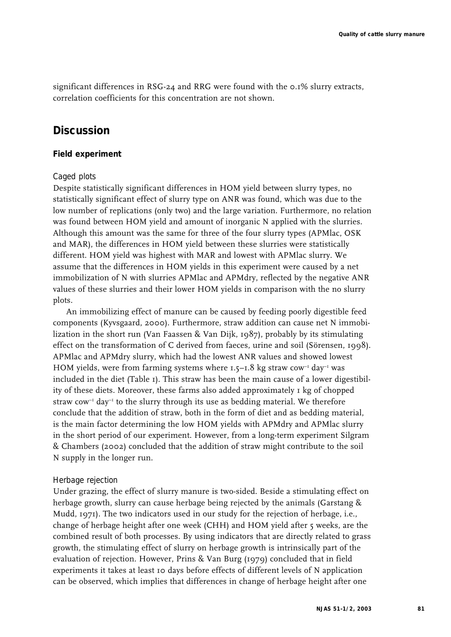significant differences in RSG-24 and RRG were found with the 0.1% slurry extracts, correlation coefficients for this concentration are not shown.

# **Discussion**

### **Field experiment**

#### *Caged plots*

Despite statistically significant differences in HOM yield between slurry types, no statistically significant effect of slurry type on ANR was found, which was due to the low number of replications (only two) and the large variation. Furthermore, no relation was found between HOM yield and amount of inorganic N applied with the slurries. Although this amount was the same for three of the four slurry types (APMlac, OSK and MAR), the differences in HOM yield between these slurries were statistically different. HOM yield was highest with MAR and lowest with APMlac slurry. We assume that the differences in HOM yields in this experiment were caused by a net immobilization of N with slurries APMlac and APMdry, reflected by the negative ANR values of these slurries and their lower HOM yields in comparison with the no slurry plots.

An immobilizing effect of manure can be caused by feeding poorly digestible feed components (Kyvsgaard, 2000). Furthermore, straw addition can cause net N immobilization in the short run (Van Faassen & Van Dijk, 1987), probably by its stimulating effect on the transformation of C derived from faeces, urine and soil (Sörensen, 1998). APMlac and APMdry slurry, which had the lowest ANR values and showed lowest HOM yields, were from farming systems where  $1.5-1.8$  kg straw cow<sup>-1</sup> day<sup>-1</sup> was included in the diet (Table 1). This straw has been the main cause of a lower digestibility of these diets. Moreover, these farms also added approximately 1 kg of chopped straw  $\text{row}^{-1}$  day<sup>-1</sup> to the slurry through its use as bedding material. We therefore conclude that the addition of straw, both in the form of diet and as bedding material, is the main factor determining the low HOM yields with APMdry and APMlac slurry in the short period of our experiment. However, from a long-term experiment Silgram & Chambers (2002) concluded that the addition of straw might contribute to the soil N supply in the longer run.

### *Herbage rejection*

Under grazing, the effect of slurry manure is two-sided. Beside a stimulating effect on herbage growth, slurry can cause herbage being rejected by the animals (Garstang & Mudd, 1971). The two indicators used in our study for the rejection of herbage, i.e., change of herbage height after one week (CHH) and HOM yield after 5 weeks, are the combined result of both processes. By using indicators that are directly related to grass growth, the stimulating effect of slurry on herbage growth is intrinsically part of the evaluation of rejection. However, Prins & Van Burg (1979) concluded that in field experiments it takes at least 10 days before effects of different levels of N application can be observed, which implies that differences in change of herbage height after one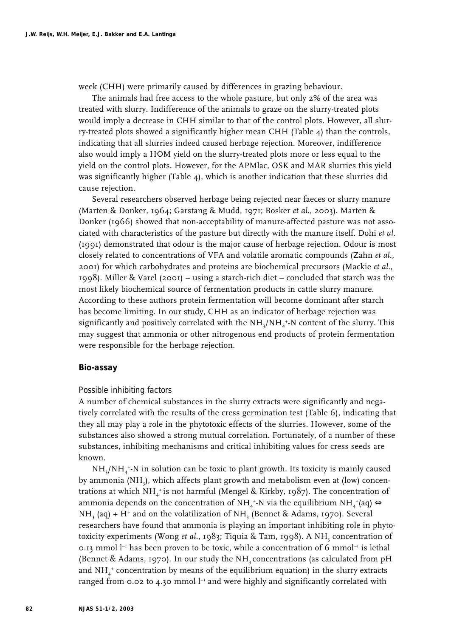week (CHH) were primarily caused by differences in grazing behaviour.

The animals had free access to the whole pasture, but only 2% of the area was treated with slurry. Indifference of the animals to graze on the slurry-treated plots would imply a decrease in CHH similar to that of the control plots. However, all slurry-treated plots showed a significantly higher mean CHH (Table 4) than the controls, indicating that all slurries indeed caused herbage rejection. Moreover, indifference also would imply a HOM yield on the slurry-treated plots more or less equal to the yield on the control plots. However, for the APMlac, OSK and MAR slurries this yield was significantly higher (Table 4), which is another indication that these slurries did cause rejection.

Several researchers observed herbage being rejected near faeces or slurry manure (Marten & Donker, 1964; Garstang & Mudd, 1971; Bosker *et al*., 2003). Marten & Donker (1966) showed that non-acceptability of manure-affected pasture was not associated with characteristics of the pasture but directly with the manure itself. Dohi *et al*. (1991) demonstrated that odour is the major cause of herbage rejection. Odour is most closely related to concentrations of VFA and volatile aromatic compounds (Zahn *et al*., 2001) for which carbohydrates and proteins are biochemical precursors (Mackie *et al*., 1998). Miller & Varel (2001) – using a starch-rich diet – concluded that starch was the most likely biochemical source of fermentation products in cattle slurry manure. According to these authors protein fermentation will become dominant after starch has become limiting. In our study, CHH as an indicator of herbage rejection was significantly and positively correlated with the NH $_{\rm 3}/{\rm NH}_4$ +N content of the slurry. This may suggest that ammonia or other nitrogenous end products of protein fermentation were responsible for the herbage rejection.

### **Bio-assay**

#### *Possible inhibiting factors*

A number of chemical substances in the slurry extracts were significantly and negatively correlated with the results of the cress germination test (Table 6), indicating that they all may play a role in the phytotoxic effects of the slurries. However, some of the substances also showed a strong mutual correlation. Fortunately, of a number of these substances, inhibiting mechanisms and critical inhibiting values for cress seeds are known.

 $NH_{3}/NH_{4}$ +N in solution can be toxic to plant growth. Its toxicity is mainly caused by ammonia (NH<sub>3</sub>), which affects plant growth and metabolism even at (low) concentrations at which NH4 + is not harmful (Mengel & Kirkby, 1987). The concentration of ammonia depends on the concentration of NH<sub>4</sub><sup>+</sup>-N via the equilibrium NH<sub>4</sub><sup>+</sup>(aq)  $\Leftrightarrow$  $NH<sub>3</sub>$  (aq) + H<sup>+</sup> and on the volatilization of NH<sub>3</sub> (Bennet & Adams, 1970). Several researchers have found that ammonia is playing an important inhibiting role in phytotoxicity experiments (Wong et al., 1983; Tiquia & Tam, 1998). A NH<sub>3</sub> concentration of 0.13 mmol  $l^{-1}$  has been proven to be toxic, while a concentration of 6 mmol<sup>-1</sup> is lethal (Bennet & Adams, 1970). In our study the NH<sub>2</sub> concentrations (as calculated from  $pH$ and NH $_4^{\ast}$  concentration by means of the equilibrium equation) in the slurry extracts ranged from 0.02 to 4.30 mmol  $l^{-1}$  and were highly and significantly correlated with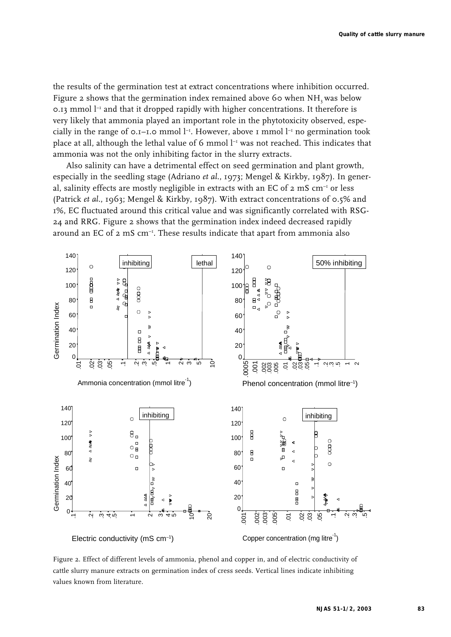the results of the germination test at extract concentrations where inhibition occurred. Figure 2 shows that the germination index remained above 60 when NH, was below 0.13 mmol  $l^{-1}$  and that it dropped rapidly with higher concentrations. It therefore is very likely that ammonia played an important role in the phytotoxicity observed, especially in the range of  $o.I-I.o$  mmol  $l<sup>-1</sup>$ . However, above 1 mmol  $l<sup>-1</sup>$  no germination took place at all, although the lethal value of 6 mmol l<sup>-1</sup> was not reached. This indicates that ammonia was not the only inhibiting factor in the slurry extracts.

Also salinity can have a detrimental effect on seed germination and plant growth, especially in the seedling stage (Adriano *et al*., 1973; Mengel & Kirkby, 1987). In general, salinity effects are mostly negligible in extracts with an EC of  $2 \text{ mS cm}^{-1}$  or less (Patrick *et al*., 1963; Mengel & Kirkby, 1987). With extract concentrations of 0.5% and 1%, EC fluctuated around this critical value and was significantly correlated with RSG-24 and RRG. Figure 2 shows that the germination index indeed decreased rapidly around an EC of  $2 \text{ mS cm}^{-1}$ . These results indicate that apart from ammonia also



Figure 2. Effect of different levels of ammonia, phenol and copper in, and of electric conductivity of cattle slurry manure extracts on germination index of cress seeds. Vertical lines indicate inhibiting values known from literature.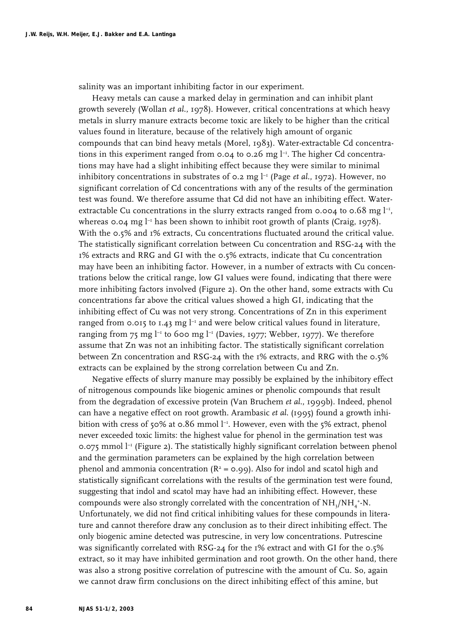salinity was an important inhibiting factor in our experiment.

Heavy metals can cause a marked delay in germination and can inhibit plant growth severely (Wollan *et al*., 1978). However, critical concentrations at which heavy metals in slurry manure extracts become toxic are likely to be higher than the critical values found in literature, because of the relatively high amount of organic compounds that can bind heavy metals (Morel, 1983). Water-extractable Cd concentrations in this experiment ranged from 0.04 to 0.26 mg  $l^{-1}$ . The higher Cd concentrations may have had a slight inhibiting effect because they were similar to minimal inhibitory concentrations in substrates of  $\sigma$ . 2 mg  $l^{-1}$  (Page *et al.*, 1972). However, no significant correlation of Cd concentrations with any of the results of the germination test was found. We therefore assume that Cd did not have an inhibiting effect. Waterextractable Cu concentrations in the slurry extracts ranged from 0.004 to 0.68 mg  $l^{-1}$ , whereas 0.04 mg  $l^{-1}$  has been shown to inhibit root growth of plants (Craig, 1978). With the 0.5% and 1% extracts, Cu concentrations fluctuated around the critical value. The statistically significant correlation between Cu concentration and RSG-24 with the 1% extracts and RRG and GI with the 0.5% extracts, indicate that Cu concentration may have been an inhibiting factor. However, in a number of extracts with Cu concentrations below the critical range, low GI values were found, indicating that there were more inhibiting factors involved (Figure 2). On the other hand, some extracts with Cu concentrations far above the critical values showed a high GI, indicating that the inhibiting effect of Cu was not very strong. Concentrations of Zn in this experiment ranged from 0.015 to 1.43 mg  $l^{-1}$  and were below critical values found in literature, ranging from 75 mg  $l^{-1}$  to 600 mg  $l^{-1}$  (Davies, 1977; Webber, 1977). We therefore assume that Zn was not an inhibiting factor. The statistically significant correlation between Zn concentration and RSG-24 with the 1% extracts, and RRG with the 0.5% extracts can be explained by the strong correlation between Cu and Zn.

Negative effects of slurry manure may possibly be explained by the inhibitory effect of nitrogenous compounds like biogenic amines or phenolic compounds that result from the degradation of excessive protein (Van Bruchem *et al*., 1999b). Indeed, phenol can have a negative effect on root growth. Arambasic *et al*. (1995) found a growth inhibition with cress of 50% at 0.86 mmol  $l^{-1}$ . However, even with the 5% extract, phenol never exceeded toxic limits: the highest value for phenol in the germination test was 0.075 mmol  $l^{-1}$  (Figure 2). The statistically highly significant correlation between phenol and the germination parameters can be explained by the high correlation between phenol and ammonia concentration ( $R^2$  = 0.99). Also for indol and scatol high and statistically significant correlations with the results of the germination test were found, suggesting that indol and scatol may have had an inhibiting effect. However, these compounds were also strongly correlated with the concentration of  $\mathrm{NH}_3/\mathrm{NH}_4$ \*-N. Unfortunately, we did not find critical inhibiting values for these compounds in literature and cannot therefore draw any conclusion as to their direct inhibiting effect. The only biogenic amine detected was putrescine, in very low concentrations. Putrescine was significantly correlated with RSG-24 for the 1% extract and with GI for the 0.5% extract, so it may have inhibited germination and root growth. On the other hand, there was also a strong positive correlation of putrescine with the amount of Cu. So, again we cannot draw firm conclusions on the direct inhibiting effect of this amine, but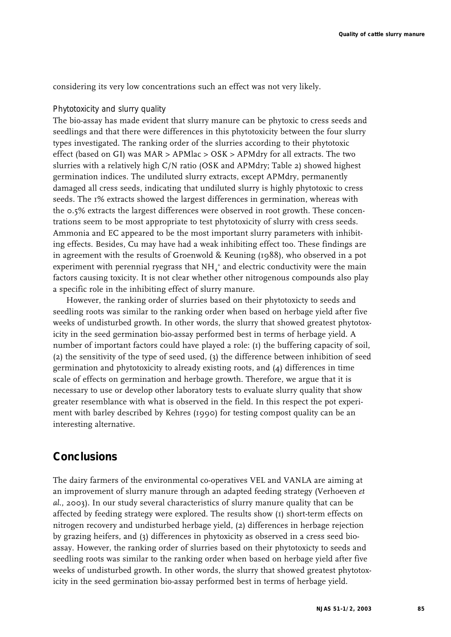considering its very low concentrations such an effect was not very likely.

### *Phytotoxicity and slurry quality*

The bio-assay has made evident that slurry manure can be phytoxic to cress seeds and seedlings and that there were differences in this phytotoxicity between the four slurry types investigated. The ranking order of the slurries according to their phytotoxic effect (based on GI) was MAR > APMlac > OSK > APMdry for all extracts. The two slurries with a relatively high C/N ratio (OSK and APMdry; Table 2) showed highest germination indices. The undiluted slurry extracts, except APMdry, permanently damaged all cress seeds, indicating that undiluted slurry is highly phytotoxic to cress seeds. The 1% extracts showed the largest differences in germination, whereas with the 0.5% extracts the largest differences were observed in root growth. These concentrations seem to be most appropriate to test phytotoxicity of slurry with cress seeds. Ammonia and EC appeared to be the most important slurry parameters with inhibiting effects. Besides, Cu may have had a weak inhibiting effect too. These findings are in agreement with the results of Groenwold & Keuning (1988), who observed in a pot experiment with perennial ryegrass that NH $_4^{\ast}$  and electric conductivity were the main factors causing toxicity. It is not clear whether other nitrogenous compounds also play a specific role in the inhibiting effect of slurry manure.

However, the ranking order of slurries based on their phytotoxicty to seeds and seedling roots was similar to the ranking order when based on herbage yield after five weeks of undisturbed growth. In other words, the slurry that showed greatest phytotoxicity in the seed germination bio-assay performed best in terms of herbage yield. A number of important factors could have played a role: (1) the buffering capacity of soil, (2) the sensitivity of the type of seed used, (3) the difference between inhibition of seed germination and phytotoxicity to already existing roots, and (4) differences in time scale of effects on germination and herbage growth. Therefore, we argue that it is necessary to use or develop other laboratory tests to evaluate slurry quality that show greater resemblance with what is observed in the field. In this respect the pot experiment with barley described by Kehres (1990) for testing compost quality can be an interesting alternative.

# **Conclusions**

The dairy farmers of the environmental co-operatives VEL and VANLA are aiming at an improvement of slurry manure through an adapted feeding strategy (Verhoeven *et al*., 2003). In our study several characteristics of slurry manure quality that can be affected by feeding strategy were explored. The results show (1) short-term effects on nitrogen recovery and undisturbed herbage yield, (2) differences in herbage rejection by grazing heifers, and (3) differences in phytoxicity as observed in a cress seed bioassay. However, the ranking order of slurries based on their phytotoxicty to seeds and seedling roots was similar to the ranking order when based on herbage yield after five weeks of undisturbed growth. In other words, the slurry that showed greatest phytotoxicity in the seed germination bio-assay performed best in terms of herbage yield.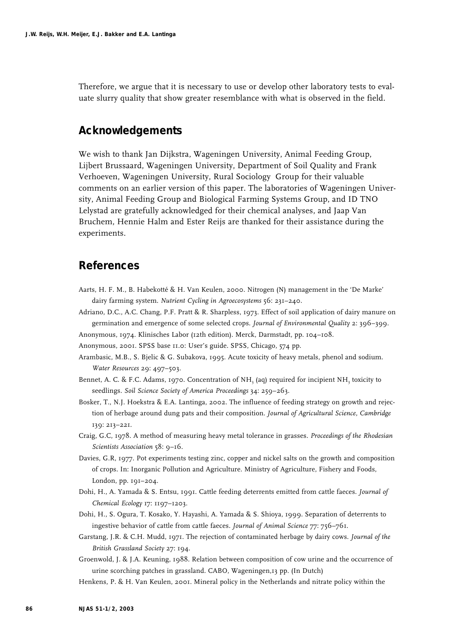Therefore, we argue that it is necessary to use or develop other laboratory tests to evaluate slurry quality that show greater resemblance with what is observed in the field.

# **Acknowledgements**

We wish to thank Jan Dijkstra, Wageningen University, Animal Feeding Group, Lijbert Brussaard, Wageningen University, Department of Soil Quality and Frank Verhoeven, Wageningen University, Rural Sociology Group for their valuable comments on an earlier version of this paper. The laboratories of Wageningen University, Animal Feeding Group and Biological Farming Systems Group, and ID TNO Lelystad are gratefully acknowledged for their chemical analyses, and Jaap Van Bruchem, Hennie Halm and Ester Reijs are thanked for their assistance during the experiments.

# **References**

- Aarts, H. F. M., B. Habekotté & H. Van Keulen, 2000. Nitrogen (N) management in the 'De Marke' dairy farming system. *Nutrient Cycling in Agroecosystems* 56: 231–240.
- Adriano, D.C., A.C. Chang, P.F. Pratt & R. Sharpless, 1973. Effect of soil application of dairy manure on germination and emergence of some selected crops. *Journal of Environmental Quality* 2: 396–399.
- Anonymous, 1974. Klinisches Labor (12th edition). Merck, Darmstadt, pp. 104–108.
- Anonymous, 2001. SPSS base 11.0: User's guide. SPSS, Chicago, 574 pp.
- Arambasic, M.B., S. Bjelic & G. Subakova, 1995. Acute toxicity of heavy metals, phenol and sodium. *Water Resources* 29: 497–503.
- Bennet, A. C. & F.C. Adams, 1970. Concentration of NH<sub>3</sub> (aq) required for incipient NH<sub>3</sub> toxicity to seedlings. *Soil Science Society of America Proceedings* 34: 259–263.
- Bosker, T., N.J. Hoekstra & E.A. Lantinga, 2002. The influence of feeding strategy on growth and rejection of herbage around dung pats and their composition. *Journal of Agricultural Science, Cambridge* 139: 213–221.
- Craig, G.C, 1978. A method of measuring heavy metal tolerance in grasses. *Proceedings of the Rhodesian Scientists Association* 58: 9–16.
- Davies, G.R, 1977. Pot experiments testing zinc, copper and nickel salts on the growth and composition of crops. In: Inorganic Pollution and Agriculture. Ministry of Agriculture, Fishery and Foods, London, pp. 191–204.
- Dohi, H., A. Yamada & S. Entsu, 1991. Cattle feeding deterrents emitted from cattle faeces. *Journal of Chemical Ecology* 17: 1197–1203.
- Dohi, H., S. Ogura, T. Kosako, Y. Hayashi, A. Yamada & S. Shioya, 1999. Separation of deterrents to ingestive behavior of cattle from cattle faeces. *Journal of Animal Science* 77: 756–761.
- Garstang, J.R. & C.H. Mudd, 1971. The rejection of contaminated herbage by dairy cows. *Journal of the British Grassland Society* 27: 194.
- Groenwold, J. & J.A. Keuning, 1988. Relation between composition of cow urine and the occurrence of urine scorching patches in grassland. CABO, Wageningen,13 pp. (In Dutch)
- Henkens, P. & H. Van Keulen, 2001. Mineral policy in the Netherlands and nitrate policy within the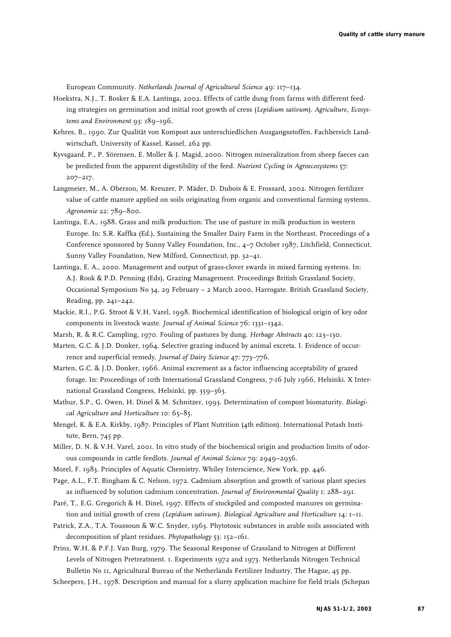European Community*. Netherlands Journal of Agricultural Science* 49: 117–134.

- Hoekstra, N.J., T. Bosker & E.A. Lantinga, 2002. Effects of cattle dung from farms with different feeding strategies on germination and initial root growth of cress (*Lepidium sativum*). *Agriculture, Ecosystems and Environment* 93: 189–196*.*
- Kehres, B., 1990. Zur Qualität von Kompost aus unterschiedlichen Ausgangsstoffen. Fachbereich Landwirtschaft, University of Kassel, Kassel, 262 pp.
- Kyvsgaard, P., P. Sörensen, E. Moller & J. Magid, 2000. Nitrogen mineralization from sheep faeces can be predicted from the apparent digestibility of the feed. *Nutrient Cycling in Agroecosystems* 57: 207–217.
- Langmeier, M., A. Oberson, M. Kreuzer, P. Mäder, D. Dubois & E. Frossard, 2002. Nitrogen fertilizer value of cattle manure applied on soils originating from organic and conventional farming systems. *Agronomie* 22: 789–800.
- Lantinga, E.A., 1988. Grass and milk production: The use of pasture in milk production in western Europe. In: S.R. Kaffka (Ed.), Sustaining the Smaller Dairy Farm in the Northeast. Proceedings of a Conference sponsored by Sunny Valley Foundation, Inc., 4–7 October 1987, Litchfield, Connecticut. Sunny Valley Foundation, New Milford, Connecticut, pp. 32–41.
- Lantinga, E. A., 2000. Management and output of grass-clover swards in mixed farming systems. In: A.J. Rook & P.D. Penning (Eds), Grazing Management. Proceedings British Grassland Society, Occasional Symposium No 34, 29 February – 2 March 2000, Harrogate. British Grassland Society, Reading, pp. 241–242.
- Mackie, R.I., P.G. Stroot & V.H. Varel, 1998. Biochemical identification of biological origin of key odor components in livestock waste. *Journal of Animal Science* 76: 1331–1342.
- Marsh, R. & R.C. Campling, 1970. Fouling of pastures by dung. *Herbage Abstracts* 40: 123–130.
- Marten, G.C. & J.D. Donker, 1964. Selective grazing induced by animal excreta. I. Evidence of occurrence and superficial remedy. *Journal of Dairy Science* 47: 773–776.
- Marten, G.C. & J.D. Donker, 1966. Animal excrement as a factor influencing acceptability of grazed forage. In: Proceedings of 10th International Grassland Congress, 7-16 July 1966, Helsinki. X International Grassland Congress, Helsinki, pp. 359–363.
- Mathur, S.P., G. Owen, H. Dinel & M. Schnitzer, 1993. Determination of compost biomaturity. *Biological Agriculture and Horticulture* 10: 65–85.
- Mengel, K. & E.A. Kirkby, 1987. Principles of Plant Nutrition (4th edition). International Potash Institute, Bern, 745 pp.
- Miller, D. N. & V.H. Varel, 2001. In vitro study of the biochemical origin and production limits of odorous compounds in cattle feedlots*. Journal of Animal Science* 79: 2949–2956.
- Morel, F. 1983. Principles of Aquatic Chemistry. Whiley Interscience, New York, pp. 446.
- Page, A.L., F.T. Bingham & C. Nelson, 1972. Cadmium absorption and growth of various plant species as influenced by solution cadmium concentration. *Journal of Environmental Quality* 1: 288–291.
- Paré, T., E.G. Gregorich & H. Dinel, 1997. Effects of stockpiled and composted manures on germination and initial growth of cress *(Lepidium sativum)*. *Biological Agriculture and Horticulture* 14: 1–11.
- Patrick, Z.A., T.A. Toussoun & W.C. Snyder, 1963. Phytotoxic substances in arable soils associated with decomposition of plant residues. *Phytopathology* 53: 152–161.
- Prins, W.H. & P.F.J. Van Burg, 1979. The Seasonal Response of Grassland to Nitrogen at Different Levels of Nitrogen Pretreatment. 1. Experiments 1972 and 1973. Netherlands Nitrogen Technical Bulletin No 11, Agricultural Bureau of the Netherlands Fertilizer Industry, The Hague, 45 pp.

Scheepers, J.H., 1978. Description and manual for a slurry application machine for field trials (Schepan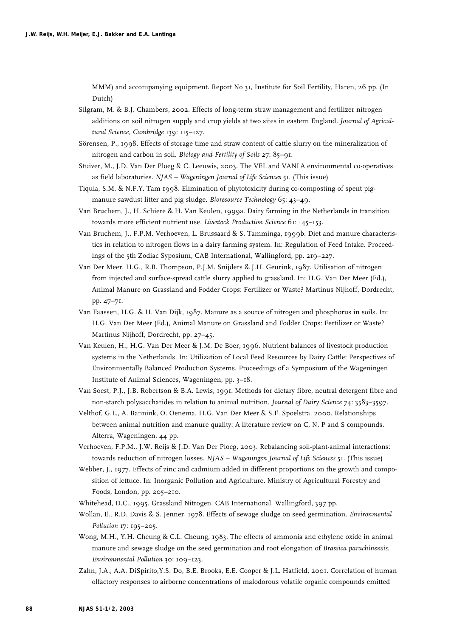MMM) and accompanying equipment. Report No 31, Institute for Soil Fertility, Haren, 26 pp. (In Dutch)

- Silgram, M. & B.J. Chambers, 2002. Effects of long-term straw management and fertilizer nitrogen additions on soil nitrogen supply and crop yields at two sites in eastern England*. Journal of Agricultural Science, Cambridge* 139: 115–127.
- Sörensen, P., 1998. Effects of storage time and straw content of cattle slurry on the mineralization of nitrogen and carbon in soil. *Biology and Fertility of Soils* 27: 85–91.
- Stuiver, M., J.D. Van Der Ploeg & C. Leeuwis, 2003. The VEL and VANLA environmental co-operatives as field laboratories. *NJAS – Wageningen Journal of Life Sciences* 51. (This issue)
- Tiquia, S.M. & N.F.Y. Tam 1998. Elimination of phytotoxicity during co-composting of spent pigmanure sawdust litter and pig sludge. *Bioresource Technology* 65: 43–49.
- Van Bruchem, J., H. Schiere & H. Van Keulen, 1999a. Dairy farming in the Netherlands in transition towards more efficient nutrient use. *Livestock Production Science* 61: 145–153.
- Van Bruchem, J., F.P.M. Verhoeven, L. Brussaard & S. Tamminga, 1999b. Diet and manure characteristics in relation to nitrogen flows in a dairy farming system. In: Regulation of Feed Intake. Proceedings of the 5th Zodiac Syposium, CAB International, Wallingford, pp. 219–227.
- Van Der Meer, H.G., R.B. Thompson, P.J.M. Snijders & J.H. Geurink, 1987. Utilisation of nitrogen from injected and surface-spread cattle slurry applied to grassland. In: H.G. Van Der Meer (Ed.), Animal Manure on Grassland and Fodder Crops: Fertilizer or Waste? Martinus Nijhoff, Dordrecht, pp. 47–71.
- Van Faassen, H.G. & H. Van Dijk, 1987. Manure as a source of nitrogen and phosphorus in soils. In: H.G. Van Der Meer (Ed.), Animal Manure on Grassland and Fodder Crops: Fertilizer or Waste? Martinus Nijhoff, Dordrecht, pp. 27–45.
- Van Keulen, H., H.G. Van Der Meer & J.M. De Boer, 1996. Nutrient balances of livestock production systems in the Netherlands. In: Utilization of Local Feed Resources by Dairy Cattle: Perspectives of Environmentally Balanced Production Systems. Proceedings of a Symposium of the Wageningen Institute of Animal Sciences, Wageningen, pp. 3–18.
- Van Soest, P.J., J.B. Robertson & B.A. Lewis, 1991. Methods for dietary fibre, neutral detergent fibre and non-starch polysaccharides in relation to animal nutrition. *Journal of Dairy Science* 74: 3583–3597.
- Velthof, G.L., A. Bannink, O. Oenema, H.G. Van Der Meer & S.F. Spoelstra, 2000. Relationships between animal nutrition and manure quality: A literature review on C, N, P and S compounds. Alterra, Wageningen, 44 pp.
- Verhoeven, F.P.M., J.W. Reijs & J.D. Van Der Ploeg, 2003. Rebalancing soil-plant-animal interactions: towards reduction of nitrogen losses. *NJAS – Wageningen Journal of Life Sciences* 51. (This issue)
- Webber, J., 1977. Effects of zinc and cadmium added in different proportions on the growth and composition of lettuce. In: Inorganic Pollution and Agriculture. Ministry of Agricultural Forestry and Foods, London, pp. 205–210.
- Whitehead, D.C., 1995. Grassland Nitrogen. CAB International, Wallingford, 397 pp.
- Wollan, E., R.D. Davis & S. Jenner, 1978. Effects of sewage sludge on seed germination*. Environmental Pollution* 17: 195–205.
- Wong, M.H., Y.H. Cheung & C.L. Cheung, 1983. The effects of ammonia and ethylene oxide in animal manure and sewage sludge on the seed germination and root elongation of *Brassica parachinensis*. *Environmental Pollution* 30: 109–123.
- Zahn, J.A., A.A. DiSpirito,Y.S. Do, B.E. Brooks, E.E. Cooper & J.L. Hatfield, 2001. Correlation of human olfactory responses to airborne concentrations of malodorous volatile organic compounds emitted